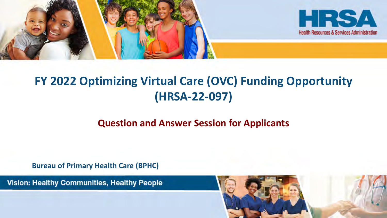

### **FY 2022 Optimizing Virtual Care (OVC) Funding Opportunity (HRSA-22-097)**

#### **Question and Answer Session for Applicants**

**Bureau of Primary Health Care (BPHC)**

Vision: Healthy Communities, Healthy People

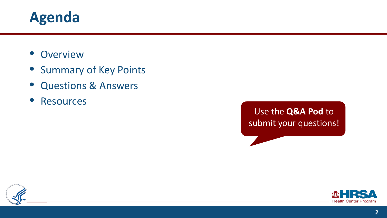### **Agenda**

- Overview
- Summary of Key Points
- Questions & Answers
- **Resources**

#### Use the **Q&A Pod** to submit your questions!



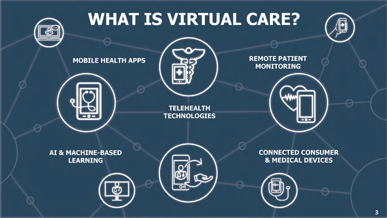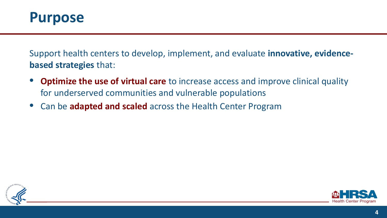

Support health centers to develop, implement, and evaluate **innovative, evidencebased strategies** that:

- **Optimize the use of virtual care** to increase access and improve clinical quality for underserved communities and vulnerable populations
- Can be **adapted and scaled** across the Health Center Program



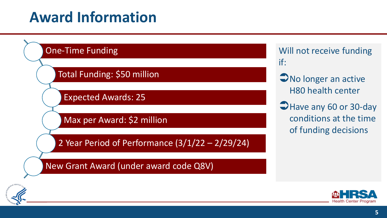## **Award Information**





- **No longer an active** H80 health center
- Have any 60 or 30-day conditions at the time of funding decisions



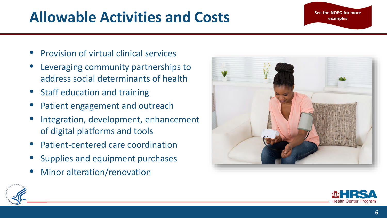# Allowable Activities and Costs

- Provision of virtual clinical services
- Leveraging community partnerships to address social determinants of health
- Staff education and training
- Patient engagement and outreach
- Integration, development, enhancement of digital platforms and tools
- Patient-centered care coordination
- Supplies and equipment purchases
- Minor alteration/renovation





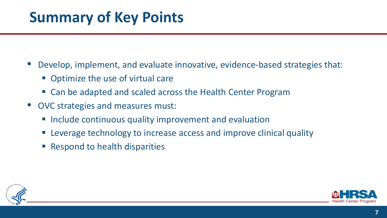## **Summary of Key Points**

- Develop, implement, and evaluate innovative, evidence-based strategies that:
	- **Optimize the use of virtual care**
	- Can be adapted and scaled across the Health Center Program
- OVC strategies and measures must:
	- **Include continuous quality improvement and evaluation**
	- Leverage technology to increase access and improve clinical quality
	- **Respond to health disparities**



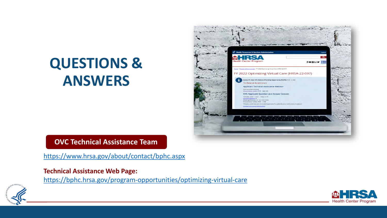# **QUESTIONS & ANSWERS**



#### **OVC Technical Assistance Team**

<https://www.hrsa.gov/about/contact/bphc.aspx>

#### **Technical Assistance Web Page:**

<https://bphc.hrsa.gov/program-opportunities/optimizing-virtual-care>



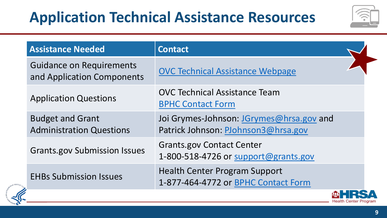# **Application Technical Assistance Resources**



| <b>Assistance Needed</b>                                      | <b>Contact</b>                                                                  |
|---------------------------------------------------------------|---------------------------------------------------------------------------------|
| <b>Guidance on Requirements</b><br>and Application Components | <b>OVC Technical Assistance Webpage</b>                                         |
| <b>Application Questions</b>                                  | <b>OVC Technical Assistance Team</b><br><b>BPHC Contact Form</b>                |
| <b>Budget and Grant</b><br><b>Administration Questions</b>    | Joi Grymes-Johnson: JGrymes@hrsa.gov and<br>Patrick Johnson: PJohnson3@hrsa.gov |
| <b>Grants.gov Submission Issues</b>                           | <b>Grants.gov Contact Center</b><br>1-800-518-4726 or support@grants.gov        |
| <b>EHBs Submission Issues</b>                                 | <b>Health Center Program Support</b><br>1-877-464-4772 or BPHC Contact Form     |
|                                                               |                                                                                 |



**Health Center Program**